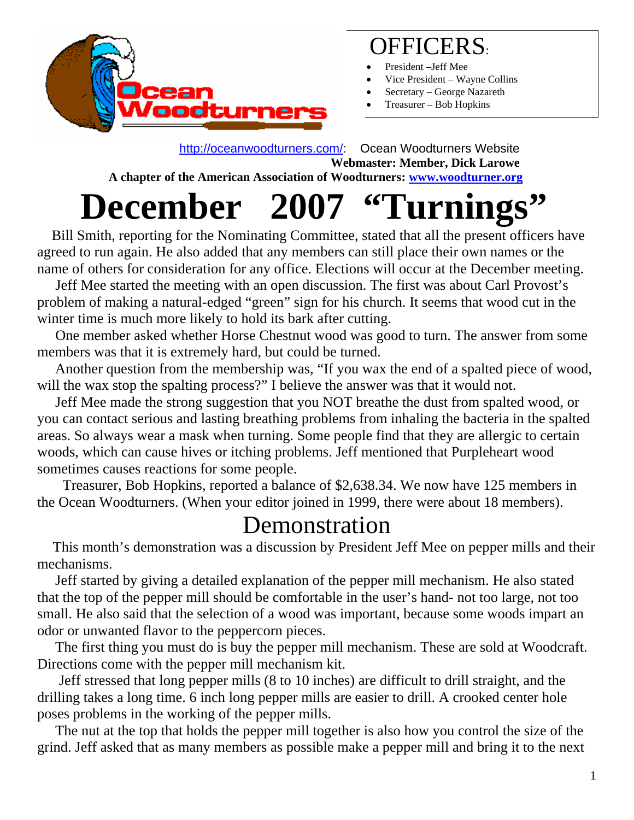

## OFFICERS:

- President –Jeff Mee
- Vice President Wayne Collins
- Secretary George Nazareth
- Treasurer Bob Hopkins

 <http://oceanwoodturners.com/>: Ocean Woodturners Website **Webmaster: Member, Dick Larowe**

 **A chapter of the American Association of Woodturners: [www.woodturner.org](http://www.woodturner.org/)** 

## **December 2007 "Turnings"**

 Bill Smith, reporting for the Nominating Committee, stated that all the present officers have agreed to run again. He also added that any members can still place their own names or the name of others for consideration for any office. Elections will occur at the December meeting.

 Jeff Mee started the meeting with an open discussion. The first was about Carl Provost's problem of making a natural-edged "green" sign for his church. It seems that wood cut in the winter time is much more likely to hold its bark after cutting.

 One member asked whether Horse Chestnut wood was good to turn. The answer from some members was that it is extremely hard, but could be turned.

 Another question from the membership was, "If you wax the end of a spalted piece of wood, will the wax stop the spalting process?" I believe the answer was that it would not.

 Jeff Mee made the strong suggestion that you NOT breathe the dust from spalted wood, or you can contact serious and lasting breathing problems from inhaling the bacteria in the spalted areas. So always wear a mask when turning. Some people find that they are allergic to certain woods, which can cause hives or itching problems. Jeff mentioned that Purpleheart wood sometimes causes reactions for some people.

 Treasurer, Bob Hopkins, reported a balance of \$2,638.34. We now have 125 members in the Ocean Woodturners. (When your editor joined in 1999, there were about 18 members).

**Demonstration**<br>This month's demonstration was a discussion by President Jeff Mee on pepper mills and their mechanisms.

 Jeff started by giving a detailed explanation of the pepper mill mechanism. He also stated that the top of the pepper mill should be comfortable in the user's hand- not too large, not too small. He also said that the selection of a wood was important, because some woods impart an odor or unwanted flavor to the peppercorn pieces.

 The first thing you must do is buy the pepper mill mechanism. These are sold at Woodcraft. Directions come with the pepper mill mechanism kit.

 Jeff stressed that long pepper mills (8 to 10 inches) are difficult to drill straight, and the drilling takes a long time. 6 inch long pepper mills are easier to drill. A crooked center hole poses problems in the working of the pepper mills.

 The nut at the top that holds the pepper mill together is also how you control the size of the grind. Jeff asked that as many members as possible make a pepper mill and bring it to the next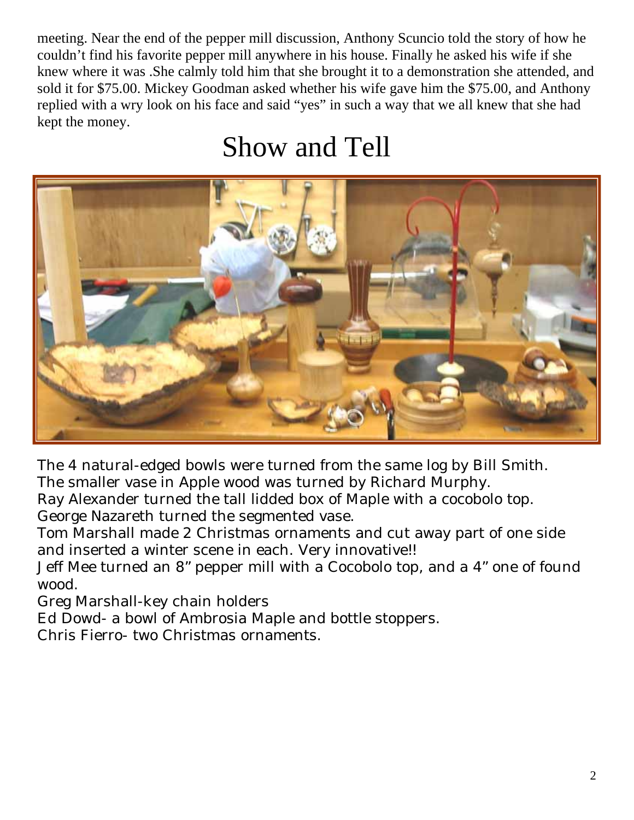meeting. Near the end of the pepper mill discussion, Anthony Scuncio told the story of how he couldn't find his favorite pepper mill anywhere in his house. Finally he asked his wife if she knew where it was .She calmly told him that she brought it to a demonstration she attended, and sold it for \$75.00. Mickey Goodman asked whether his wife gave him the \$75.00, and Anthony replied with a wry look on his face and said "yes" in such a way that we all knew that she had kept the money.

## Show and Tell



The 4 natural-edged bowls were turned from the same log by Bill Smith. The smaller vase in Apple wood was turned by Richard Murphy.

Ray Alexander turned the tall lidded box of Maple with a cocobolo top. George Nazareth turned the segmented vase.

Tom Marshall made 2 Christmas ornaments and cut away part of one side and inserted a winter scene in each. Very innovative!!

Jeff Mee turned an 8" pepper mill with a Cocobolo top, and a 4" one of found wood.

Greg Marshall-key chain holders

Ed Dowd- a bowl of Ambrosia Maple and bottle stoppers.

Chris Fierro- two Christmas ornaments.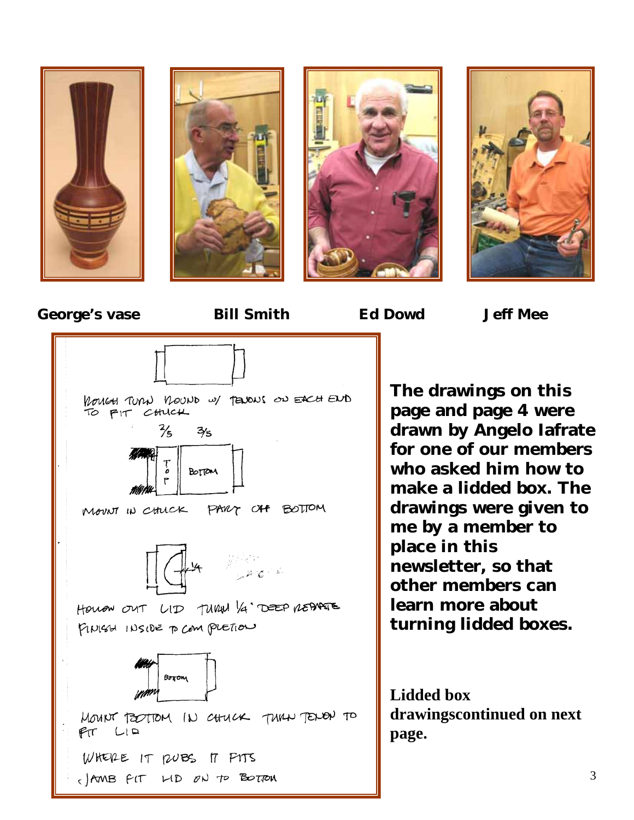











**es. turning lidded box The drawings on this page and page 4 were drawn by Angelo Iafrate for one of our members who asked him how to make a lidded box. The drawings were given to me by a member to place in this newsletter, so that other members can learn more about** 

drawingscontinued on next **page. Lidded box**